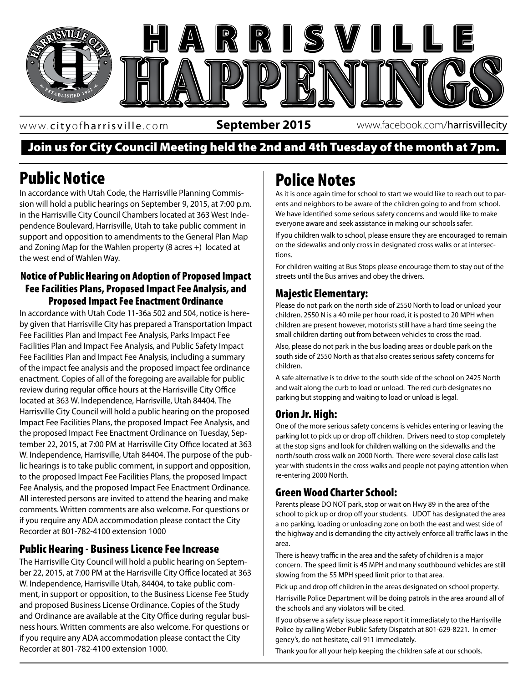

www. cityofharrisville .com

**September 2015** www.facebook.com/harrisvillecity

## Join us for City Council Meeting held the 2nd and 4th Tuesday of the month at 7pm.

# Public Notice

In accordance with Utah Code, the Harrisville Planning Commission will hold a public hearings on September 9, 2015, at 7:00 p.m. in the Harrisville City Council Chambers located at 363 West Independence Boulevard, Harrisville, Utah to take public comment in support and opposition to amendments to the General Plan Map and Zoning Map for the Wahlen property (8 acres +) located at the west end of Wahlen Way.

#### Notice of Public Hearing on Adoption of Proposed Impact Fee Facilities Plans, Proposed Impact Fee Analysis, and Proposed Impact Fee Enactment Ordinance

In accordance with Utah Code 11-36a 502 and 504, notice is hereby given that Harrisville City has prepared a Transportation Impact Fee Facilities Plan and Impact Fee Analysis, Parks Impact Fee Facilities Plan and Impact Fee Analysis, and Public Safety Impact Fee Facilities Plan and Impact Fee Analysis, including a summary of the impact fee analysis and the proposed impact fee ordinance enactment. Copies of all of the foregoing are available for public review during regular office hours at the Harrisville City Office located at 363 W. Independence, Harrisville, Utah 84404. The Harrisville City Council will hold a public hearing on the proposed Impact Fee Facilities Plans, the proposed Impact Fee Analysis, and the proposed Impact Fee Enactment Ordinance on Tuesday, September 22, 2015, at 7:00 PM at Harrisville City Office located at 363 W. Independence, Harrisville, Utah 84404. The purpose of the public hearings is to take public comment, in support and opposition, to the proposed Impact Fee Facilities Plans, the proposed Impact Fee Analysis, and the proposed Impact Fee Enactment Ordinance. All interested persons are invited to attend the hearing and make comments. Written comments are also welcome. For questions or if you require any ADA accommodation please contact the City Recorder at 801-782-4100 extension 1000

## Public Hearing - Business Licence Fee Increase

The Harrisville City Council will hold a public hearing on September 22, 2015, at 7:00 PM at the Harrisville City Office located at 363 W. Independence, Harrisville Utah, 84404, to take public comment, in support or opposition, to the Business License Fee Study and proposed Business License Ordinance. Copies of the Study and Ordinance are available at the City Office during regular business hours. Written comments are also welcome. For questions or if you require any ADA accommodation please contact the City Recorder at 801-782-4100 extension 1000.

## Police Notes

As it is once again time for school to start we would like to reach out to parents and neighbors to be aware of the children going to and from school. We have identified some serious safety concerns and would like to make everyone aware and seek assistance in making our schools safer.

If you children walk to school, please ensure they are encouraged to remain on the sidewalks and only cross in designated cross walks or at intersections.

For children waiting at Bus Stops please encourage them to stay out of the streets until the Bus arrives and obey the drivers.

#### Majestic Elementary:

Please do not park on the north side of 2550 North to load or unload your children. 2550 N is a 40 mile per hour road, it is posted to 20 MPH when children are present however, motorists still have a hard time seeing the small children darting out from between vehicles to cross the road.

summary south side of 2550 North as that also creates serious safety concerns for Also, please do not park in the bus loading areas or double park on the children.

> A safe alternative is to drive to the south side of the school on 2425 North and wait along the curb to load or unload. The red curb designates no parking but stopping and waiting to load or unload is legal.

## Orion Jr. High:

One of the more serious safety concerns is vehicles entering or leaving the parking lot to pick up or drop off children. Drivers need to stop completely at the stop signs and look for children walking on the sidewalks and the north/south cross walk on 2000 North. There were several close calls last year with students in the cross walks and people not paying attention when re-entering 2000 North.

## Green Wood Charter School:

Parents please DO NOT park, stop or wait on Hwy 89 in the area of the school to pick up or drop off your students. UDOT has designated the area a no parking, loading or unloading zone on both the east and west side of the highway and is demanding the city actively enforce all traffic laws in the area.

There is heavy traffic in the area and the safety of children is a major concern. The speed limit is 45 MPH and many southbound vehicles are still slowing from the 55 MPH speed limit prior to that area.

Pick up and drop off children in the areas designated on school property. Harrisville Police Department will be doing patrols in the area around all of the schools and any violators will be cited.

If you observe a safety issue please report it immediately to the Harrisville Police by calling Weber Public Safety Dispatch at 801-629-8221. In emergency's, do not hesitate, call 911 immediately.

Thank you for all your help keeping the children safe at our schools.